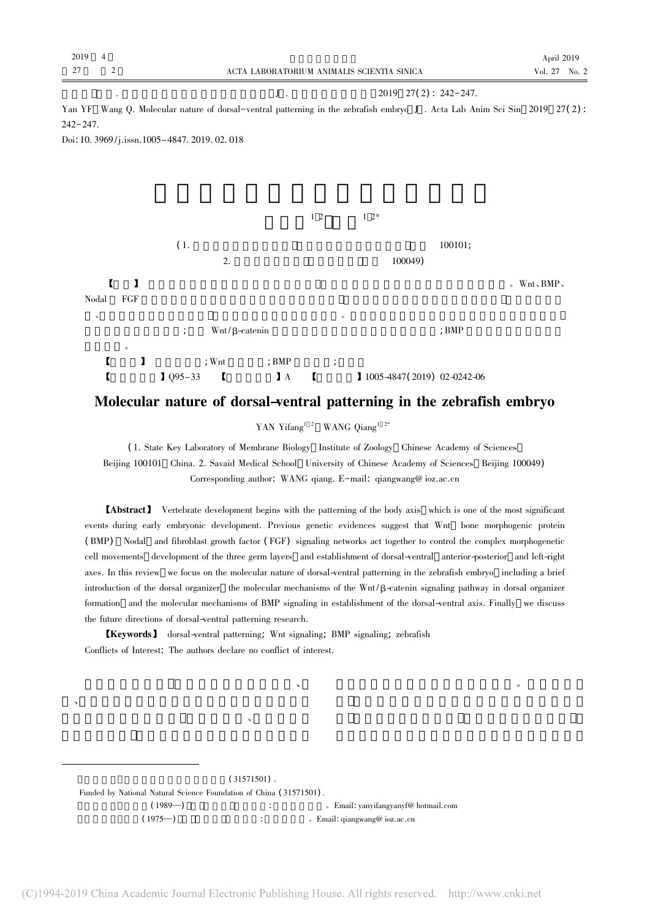

Doi: 10. 3969/j.issn.1005-4847. 2019. 02. 018



## Molecular nature of dorsal-ventral patterning in the zebrafish embryo

YAN Yifang<sup>1 2</sup> WANG Qiang<sup>1 2\*</sup>

(1. State Key Laboratory of Membrane Biology Institute of Zoology Chinese Academy of Sciences Beijing 100101 China. 2. Savaid Medical School University of Chinese Academy of Sciences Beijing 100049) Corresponding author: WANG qiang. E-mail: qiangwang@ioz.ac.cn

**(Abstract)** Vertebrate development begins with the patterning of the body axis which is one of the most significant events during early embryonic development. Previous genetic evidences suggest that Wnt bone morphogenic protein (BMP) Nodal and fibroblast growth factor (FGF) signaling networks act together to control the complex morphogenetic cell movements development of the three germ layers and establishment of dorsal-ventral anterior-posterior and left-right axes. In this review we focus on the molecular nature of dorsal-ventral patterning in the zebrafish embryo including a brief introduction of the dorsal organizer the molecular mechanisms of the  $Wnt/G$ -catenin signaling pathway in dorsal organizer formation and the molecular mechanisms of BMP signaling in establishment of the dorsal-ventral axis. Finally we discuss the future directions of dorsal-ventral patterning research.

**Keywords** dorsal-ventral patterning; Wnt signaling; BMP signaling; zebrafish Conflicts of Interest: The authors declare no conflict of interest.

 $(31571501)$ Funded by National Natural Science Foundation of China (31571501).  $(1989-)$ - Email: yanyifangyanyf@ hotmail.com  $\ddot{\cdot}$  $(1975-)$  $\ddot{\phantom{a}}$ . Email: qiangwang@ ioz.ac.cn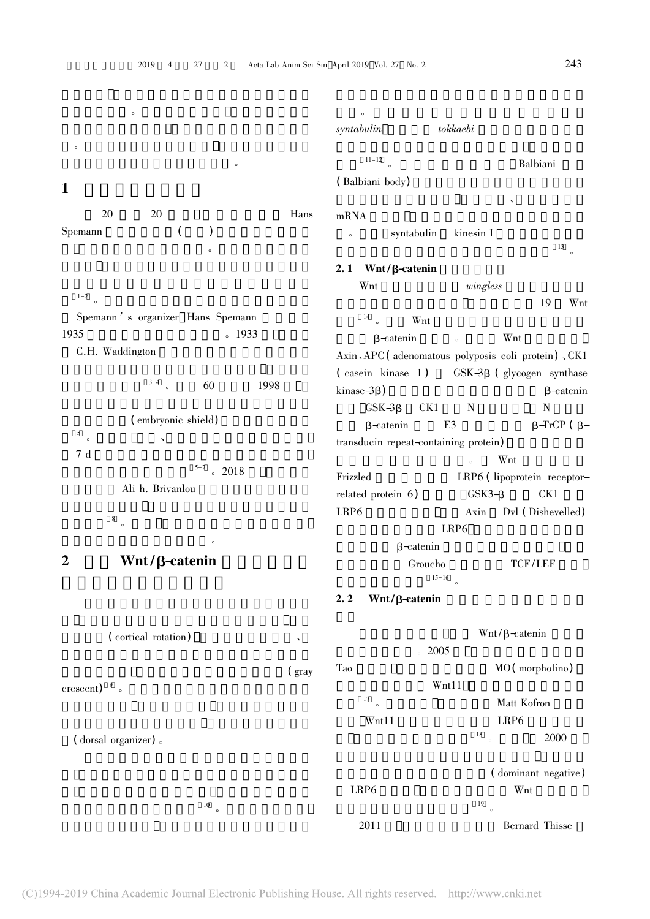| $\circ$                                          | $\circ$                                              |                             |
|--------------------------------------------------|------------------------------------------------------|-----------------------------|
|                                                  | syntabulin<br>tokkaebi                               |                             |
| $\circ$<br>$\circ$                               | $11-12$                                              | Balbiani                    |
| 1                                                | (Balbiani body)                                      |                             |
| 20<br>20<br>Hans                                 | mRNA                                                 | $\checkmark$                |
| (<br>Spemann<br>$\mathcal{Y}$                    | syntabulin<br>$\circ$                                | kinesin I                   |
| $\circ$                                          |                                                      | 13<br>$\circ$               |
|                                                  | Wnt/ $\beta$ -catenin<br>2.1                         |                             |
| $1 - 2$<br>$\circ$                               | Wnt                                                  | wingless<br>19<br>Wnt       |
| Spemann's organizer Hans Spemann                 | $14$ o<br>Wnt                                        |                             |
| 1935<br>.1933                                    | $\beta$ -catenin $\bullet$                           | Wnt                         |
| C.H. Waddington                                  | Axin、APC (adenomatous polyposis coli protein)、CK1    |                             |
|                                                  | $(\text{casein } 1)$ $GSK-3\beta$ (glycogen synthase |                             |
| $3 - 4$<br>60<br>1998<br>$\circ$                 | kinase- $3\beta$ )                                   | $\beta$ -catenin            |
|                                                  | $GSK-3\beta$<br>CK1                                  | $\mathbf N$<br>$\mathbf N$  |
| (embryonic shield)                               | $\beta$ -catenin<br>E3                               | $\beta$ -TrCP ( $\beta$ -   |
| $\mathfrak{S}$<br>$\circ$<br>$\checkmark$        | transducin repeat-containing protein)                |                             |
| 7d                                               |                                                      | Wnt<br>$\circ$              |
| $5-7$ $\degree$ 2018                             | Frizzled                                             | LRP6 (lipoprotein receptor- |
| Ali h. Brivanlou                                 | related protein 6)                                   | $GSK3-\beta$<br>CK1         |
| 8<br>$\circ$                                     | LRP6                                                 | Dvl (Dishevelled)<br>Axin   |
|                                                  | LRP6                                                 |                             |
| $\circ$                                          | $\beta$ -catenin                                     |                             |
| 2<br>$W$ nt / $\beta$ -catenin                   | Groucho<br>$15 - 16$                                 | TCF/LEF                     |
|                                                  | 2.2<br>Wnt/ $\beta$ -catenin                         |                             |
|                                                  |                                                      |                             |
| (cortical rotation)<br>$\boldsymbol{\checkmark}$ | .2005                                                | $Wnt/\beta$ -catenin        |
| $\frac{1}{2}$                                    | Tao                                                  | MO (morpholino)             |
| crescent) $9^{\circ}$ .                          | Wnt11                                                |                             |
|                                                  | $17$ $_{\circ}$                                      | Matt Kofron                 |
|                                                  | Wnt11                                                | LRP6                        |

( dorsal organizer)  $_{\circ}$ 

LRP6  $\frac{10}{\circ}$ 2011  $18\,$ 

 $\circ$ 

 $19\degree$ 

2000

(dominant negative) Wnt

Bernard Thisse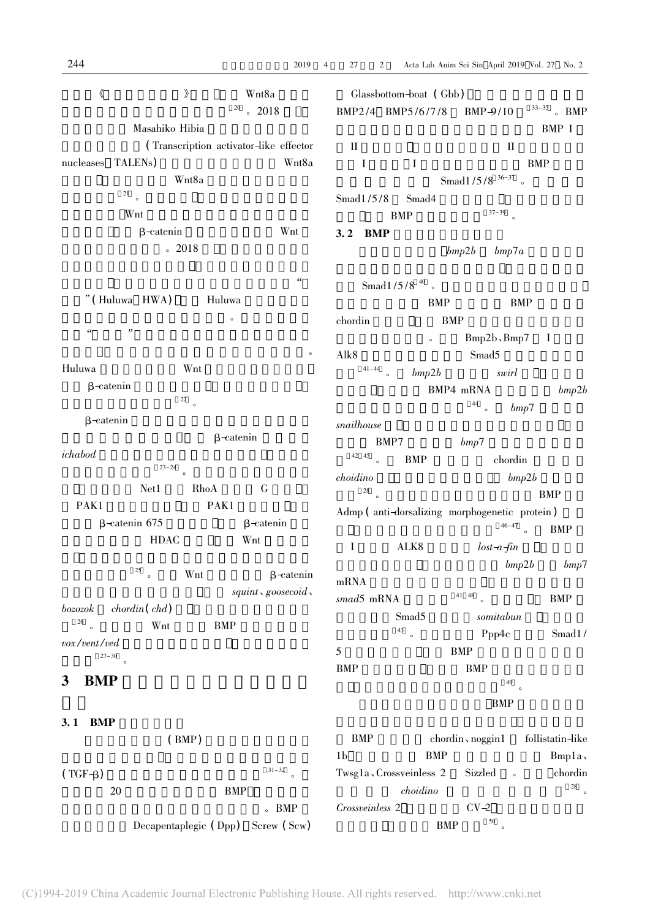$\langle\!\langle$  $\rangle\!\rangle$ Wnt8a  $20^{20}$  . 2018 Masahiko Hibia (Transcription activator-like effector nucleases TALENs) Wnt8a Wnt8a  $21$ Wnt Wnt  $\beta$ -catenin  $2018$  $\epsilon$ "(Huluwa HWA) Huluwa  $\circ$ ,, Huluwa Wnt  $\beta$ -catenin  $22\,$  $\beta$ -catenin  $\beta$ -catenin ichabod  $23 - 24$ RhoA  $\overline{G}$  $Net1$ PAK1 PAK1 β-catenin 675  $\beta$ -catenin HDAC Wnt  $\frac{25}{\circ}$ Wnt  $\beta$ -catenin  $squint \, \sim\, goosecoil \, \sim$  $chordin(chd)$  $boxozok$  $26 \quad \circ$ Wnt **BMP**  $vox/vent/ved$  $27 - 30$ 3 **BMP** 3.1 BMP  $(BM)$ 

 $\circ$ 

244

 $(TGF- $\beta$ )$ 

20

Glassbottom-boat (Gbb) BMP2/4 BMP5/6/7/8  $BMP-9/10$  $33-35$   $\,$  BMP **BMP I**  $\rm II$  $\rm II$  $\overline{I}$  $\overline{I}$ **BMP**  $\operatorname{Smad1}/5/8$   $^{36-37}$   $\scriptstyle\circ$ Smad1/5/8 Smad4  $37 - 39$ **BMP** 3.2 BMP  $bmp2b$  $bmp7a$ Smad1/5/8 $^{\,40}$   $\,$   $\,$ **BMP BMP** chordin **BMP**  $Bmp2b$ ,  $Bmp7$  $\bf{l}$ Smad<sub>5</sub>  $Alk8$  $41 - 44$  $bmp2b$ swirl BMP4 mRNA  $bmp2b$  $\frac{44}{\circ}$  $bmp7$ snailhouse BMP7  $bmp7$  $42\quad 45$ **BMP** chordin  $bmp2b$ choidino  $28$ **BMP** Admp (anti-dorsalizing morphogenetic protein)  $46 - 47$ **BMP**  $\bar{I}$ ALK8  $lost-a-fin$  $bmp2b$  $bmp7$ mRNA  $41 \quad 48$ **BMP** smad5 mRNA Smad<sub>5</sub> somitabun  $43$  0 Ppp4c Smad1/ 5 **BMP BMP BMP** 49  $\overline{a}$ **BMP** 

| (BMP)                             |                       | BMP                     |          | $chordin$ , noggin $1$ |         | follistatin-like |
|-----------------------------------|-----------------------|-------------------------|----------|------------------------|---------|------------------|
|                                   |                       | 1b                      | BMP      |                        |         | Bmp1a            |
|                                   | $31 - 32$<br>$\Omega$ | Twsgla, Crossveinless 2 |          | Sizzled                | $\circ$ | chordin          |
| BMP                               |                       |                         | choidino |                        |         | 28<br>$\circ$    |
|                                   | $\delta$ BMP          | <i>Crossveinless</i> 2  |          | $CV-2$                 |         |                  |
| Decapentaplegic (Dpp) Screw (Scw) |                       |                         | BMP      | 50<br>$\circ$          |         |                  |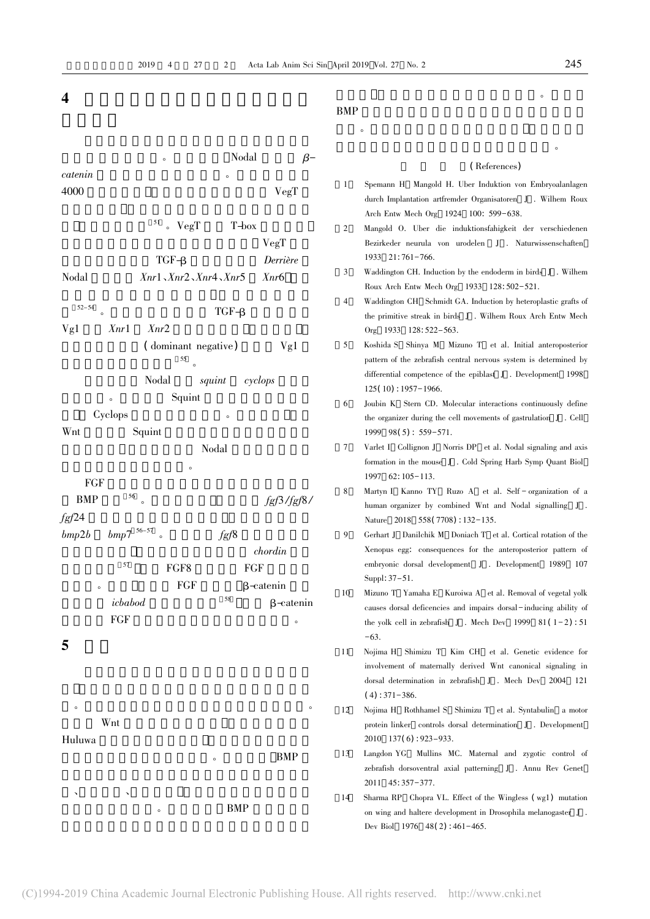$\overline{\mathbf{4}}$ 

| Nodal<br>$\circ$                           | $\beta-$            |    | $\circ$                                                                                                               |
|--------------------------------------------|---------------------|----|-----------------------------------------------------------------------------------------------------------------------|
| catenin<br>$\circ$                         |                     |    | (References)                                                                                                          |
| 4000                                       | VegT                | 1  | Spemann H Mangold H. Uber Induktion von Embryoalanlagen<br>durch Implantation artfremder Organisatoren J. Wilhem Roux |
| VegT<br>T-box                              |                     |    | Arch Entw Mech Org 1924 100: 599-638.                                                                                 |
|                                            |                     | 2  | Mangold O. Uber die induktionsfahigkeit der verschiedenen                                                             |
|                                            | VegT                |    | Bezirkeder neurula von urodelen J. Naturwissenschaften<br>1933 21:761-766.                                            |
| $TGF - \beta$                              | Derrière            | 3  | Waddington CH. Induction by the endoderm in birds J. Wilhem                                                           |
| $Xnr1$ , $Xnr2$ , $Xnr4$ , $Xnr5$<br>Nodal | Xnr6                |    | Roux Arch Entw Mech Org 1933 128: 502-521.                                                                            |
| $52 - 54$                                  |                     | 4  | Waddington CH Schmidt GA. Induction by heteroplastic grafts of                                                        |
| $TGF - \beta$<br>$\circ$                   |                     |    | the primitive streak in birds J. Wilhem Roux Arch Entw Mech                                                           |
| Xnr1<br>Xnr2<br>Vg1                        |                     |    | Org 1933 128: 522-563.                                                                                                |
| (dominant negative)                        | Vg1                 | 5  | Koshida S Shinya M Mizuno T et al. Initial anteroposterior                                                            |
| 55<br>$\circ$                              |                     |    | pattern of the zebrafish central nervous system is determined by                                                      |
| Nodal<br>squint                            | cyclops             |    | differential competence of the epiblast J. Development 1998<br>$125(10): 1957-1966.$                                  |
| Squint<br>$\circ$                          |                     | 6  | Joubin K Stern CD. Molecular interactions continuously define                                                         |
| Cyclops<br>$\circ$                         |                     |    | the organizer during the cell movements of gastrulation J. Cell                                                       |
| Wnt<br>Squint                              |                     |    | $1999$ $98(5)$ $559-571$ .                                                                                            |
| Nodal                                      |                     | 7  | Varlet I Collignon J Norris DP et al. Nodal signaling and axis                                                        |
| $\circ$                                    |                     |    | formation in the mouse J. Cold Spring Harb Symp Quant Biol                                                            |
| FGF                                        |                     |    | $1997$ 62: $105 - 113$ .                                                                                              |
| $56$ $_{\circ}$<br><b>BMP</b>              | $\frac{fgf3}{fgf8}$ | 8  | Martyn I Kanno TY Ruzo A et al. Self - organization of a                                                              |
|                                            |                     |    | human organizer by combined Wnt and Nodal signalling J.                                                               |
| fgf24                                      |                     |    | Nature 2018 558 (7708): 132-135.                                                                                      |
| $bmp7$ <sup>56-57</sup><br>bmp2b<br>fgf8   |                     | 9  | Gerhart J Danilchik M Doniach T et al. Cortical rotation of the                                                       |
|                                            | chordin             |    | Xenopus egg: consequences for the anteroposterior pattern of                                                          |
| 57<br>FGF<br>FGF8                          |                     |    | embryonic dorsal development J. Development 1989 107                                                                  |
| FGF<br>$\circ$                             | $\beta$ -catenin    |    | Suppl: 37–51.                                                                                                         |
| 58<br>icbabod                              | $\beta$ -catenin    | 10 | Mizuno T Yamaha E Kuroiwa A et al. Removal of vegetal yolk                                                            |
| FGF                                        | $\circ$             |    | causes dorsal deficencies and impairs dorsal-inducing ability of                                                      |
|                                            |                     |    | the yolk cell in zebrafish $J$ . Mech Dev 1999 81(1-2): 51<br>$-63.$                                                  |
| 5                                          |                     | 11 | Nojima H Shimizu T Kim CH et al. Genetic evidence for                                                                 |
|                                            |                     |    | involvement of maternally derived Wnt canonical signaling in                                                          |
|                                            |                     |    | dorsal determination in zebrafish J. Mech Dev 2004 121                                                                |
|                                            |                     |    | $(4) : 371 - 386.$                                                                                                    |
| $\circ$                                    | $\circ$             | 12 | Nojima H Rothhamel S Shimizu T et al. Syntabulin a motor                                                              |
| Wnt                                        |                     |    | protein linker controls dorsal determination J. Development                                                           |
| Huluwa                                     |                     |    | $2010$ 137(6): 923-933.                                                                                               |
| $\circ$                                    | <b>BMP</b>          | 13 | Langdon YG Mullins MC. Maternal and zygotic control of                                                                |
|                                            |                     |    | zebrafish dorsoventral axial patterning J. Annu Rev Genet<br>2011 45: 357 - 377.                                      |
| $\checkmark$                               |                     | 14 | Sharma RP Chopra VL. Effect of the Wingless (wg1) mutation                                                            |
| <b>BMP</b><br>$\circ$                      |                     |    | on wing and haltere development in Drosophila melanogaster J.                                                         |
|                                            |                     |    | Dev Biol 1976 $48(2):461-465$ .                                                                                       |

**BMP**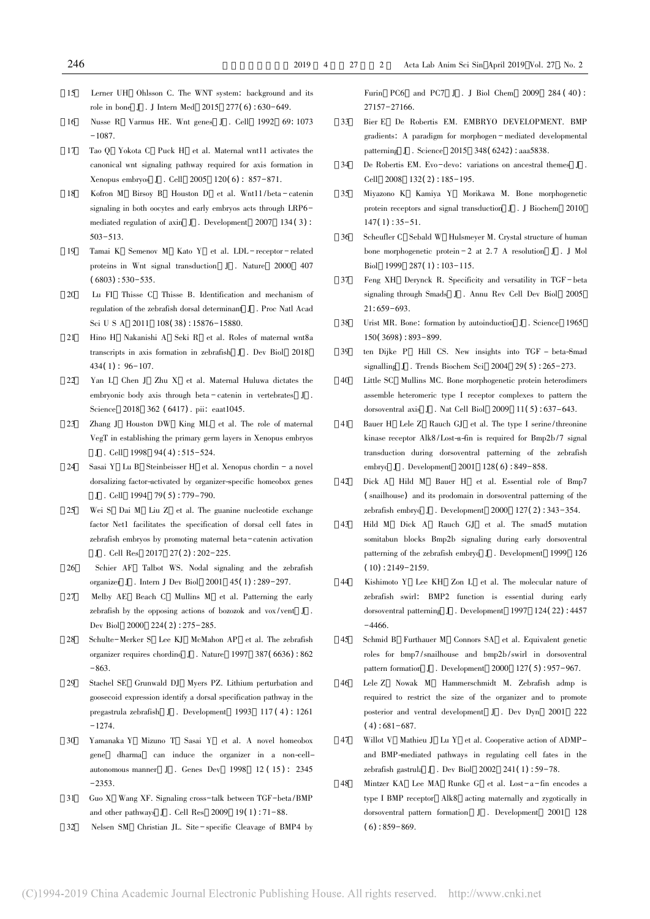- $15$ Lerner UH Ohlsson C. The WNT system: background and its role in bone J. J Intern Med 2015 277(6): 630-649.
- 16 Nusse R Varmus HE. Wnt genes J . Cell 1992 69: 1073  $-1087$
- Tao Q Yokota C Puck H et al. Maternal wnt11 activates the 17 canonical wnt signaling pathway required for axis formation in Xenopus embryos J . Cell 2005 120(6): 857-871.
- Kofron M Birsoy B Houston D et al. Wnt11/beta-catenin 18 signaling in both oocytes and early embryos acts through LRP6mediated regulation of axin J. Development 2007 134(3):  $503 - 513$
- Tamai K Semenov M Kato Y et al. LDL-receptor-related 19 proteins in Wnt signal transduction J. Nature 2000 407  $(6803): 530-535.$
- 20 Lu FI Thisse C Thisse B. Identification and mechanism of regulation of the zebrafish dorsal determinant J . Proc Natl Acad Sci U S A 2011 108(38): 15876-15880.
- Hino H Nakanishi A Seki R et al. Roles of maternal wnt8a 21 transcripts in axis formation in zebrafish J . Dev Biol 2018  $434(1): 96-107.$
- $22$ Yan L Chen J Zhu X et al. Maternal Huluwa dictates the embryonic body axis through beta-catenin in vertebrates J. Science 2018 362 (6417). pii: eaat1045.
- Zhang J Houston DW King ML et al. The role of maternal 23 VegT in establishing the primary germ layers in Xenopus embryos J. Cell  $1998$   $94(4):515-524$ .
- Sasai Y Lu B Steinbeisser H et al. Xenopus chordin a novel  $24$ dorsalizing factor-activated by organizer-specific homeobox genes J. Cell  $1994$   $79(5)$ : 779-790.
- 25 Wei S Dai M Liu Z et al. The guanine nucleotide exchange factor Net1 facilitates the specification of dorsal cell fates in zebrafish embryos by promoting maternal beta-catenin activation J. Cell Res 2017 27(2): 202-225.
- Schier AF Talbot WS. Nodal signaling and the zebrafish  $26$ organizer J. Intern J Dev Biol 2001 45(1): 289-297.
- $27$ Melby AE Beach C Mullins M et al. Patterning the early zebrafish by the opposing actions of bozozok and  $\mathrm{vox}/\mathrm{vent}$   $\;$  J  $\;$  . Dev Biol 2000 224(2): 275-285.
- 28 Schulte-Merker S Lee KJ McMahon AP et al. The zebrafish organizer requires chordino J . Nature 1997 387(6636): 862  $-863$
- Stachel SE Grunwald DJ Myers PZ. Lithium perturbation and 29 goosecoid expression identify a dorsal specification pathway in the pregastrula zebrafish J . Development 1993 117(4): 1261  $-1274$
- $30^{\circ}$ Yamanaka Y Mizuno T Sasai Y et al. A novel homeobox gene dharma can induce the organizer in a non-cellautonomous manner  $J$ . Genes Dev 1998 12 (15): 2345  $-2353.$
- 31 Guo X Wang XF. Signaling cross-talk between TGF-beta/BMP and other pathways J. Cell Res 2009 19(1): 71-88.
- Nelsen SM Christian JL. Site-specific Cleavage of BMP4 by 32

Furin PC6 and PC7 J . J Biol Chem 2009 284 (40): 27157-27166.

- 33 Bier E De Robertis EM. EMBRYO DEVELOPMENT. BMP gradients: A paradigm for morphogen-mediated developmental patterning J . Science 2015 348(6242): aaa5838.
- De Robertis EM. Evo-devo: variations on ancestral themes J.  $34$ Cell  $2008$   $132(2)$ :  $185-195$ .
- Miyazono K Kamiya Y Morikawa M. Bone morphogenetic 35 protein receptors and signal transduction J. J Biochem 2010  $147(1): 35-51.$
- $\label{eq:1} \begin{minipage}{0.9\linewidth} \emph{Schwifier C} \quad \emph{Sebald W} \quad \emph{Hulsmeyer M. Crystal structure of human} \end{minipage}$ 36 bone morphogenetic protein  $-2$  at 2.7 A resolution  $J$ . J Mol Biol 1999 287(1): 103-115.
- Feng XH Derynck R. Specificity and versatility in TGF-beta 37 signaling through Smads J . Annu Rev Cell Dev Biol 2005  $21:659-693.$
- Urist MR. Bone: formation by autoinduction J . Science 1965 38  $150(3698): 893-899.$
- ten Dijke P Hill CS. New insights into TGF beta-Smad 39 signalling  $J$ . Trends Biochem Sci 2004 29(5): 265-273.
- Little SC Mullins MC. Bone morphogenetic protein heterodimers  $40$ assemble heteromeric type I receptor complexes to pattern the dorsoventral axis  $J$ . Nat Cell Biol 2009 11(5): 637-643.
- Bauer H Lele Z Rauch GJ et al. The type I serine/threonine  $41$ kinase receptor Alk8/Lost-a-fin is required for Bmp2b/7 signal transduction during dorsoventral patterning of the zebrafish embryo J . Development 2001 128(6): 849-858.
- 42 Dick A Hild M Bauer H et al. Essential role of Bmp7 (snailhouse) and its prodomain in dorsoventral patterning of the zebrafish embryo J . Development 2000 127(2): 343-354.
- $43$ Hild M Dick A Rauch GJ et al. The smad5 mutation somitabun blocks Bmp2b signaling during early dorsoventral patterning of the zebrafish embryo J . Development 1999 126  $(10): 2149 - 2159.$
- 44 Kishimoto Y Lee KH Zon L et al. The molecular nature of zebrafish swirl: BMP2 function is essential during early dorsoventral patterning J . Development 1997 124(22): 4457  $-4466.$
- 45 Schmid B Furthauer M Connors SA et al. Equivalent genetic roles for bmp7/snailhouse and bmp2b/swirl in dorsoventral pattern formation  $J$ . Development 2000 127(5): 957-967.
- Lele Z Nowak M Hammerschmidt M. Zebrafish admp is 46 required to restrict the size of the organizer and to promote posterior and ventral development J . Dev Dyn 2001 222  $(4): 681-687.$
- Willot V Mathieu J Lu Y et al. Cooperative action of ADMP-47 and BMP-mediated pathways in regulating cell fates in the zebrafish gastrula J. Dev Biol  $2002$   $241(1):59-78$ .
- 48 Mintzer KA Lee MA Runke G et al. Lost-a-fin encodes a type I BMP receptor Alk8 acting maternally and zygotically in dorsoventral pattern formation J . Development 2001 128  $(6): 859-869.$